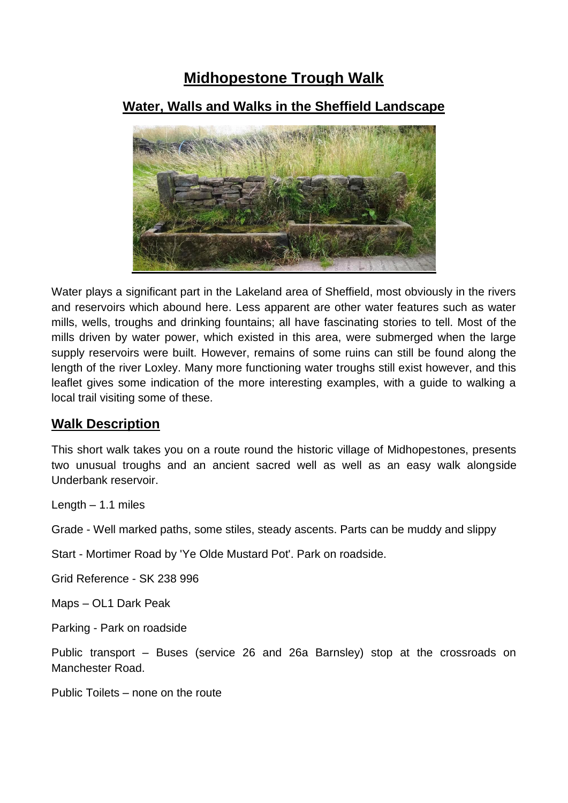# **Midhopestone Trough Walk**

## **Water, Walls and Walks in the Sheffield Landscape**



Water plays a significant part in the Lakeland area of Sheffield, most obviously in the rivers and reservoirs which abound here. Less apparent are other water features such as water mills, wells, troughs and drinking fountains; all have fascinating stories to tell. Most of the mills driven by water power, which existed in this area, were submerged when the large supply reservoirs were built. However, remains of some ruins can still be found along the length of the river Loxley. Many more functioning water troughs still exist however, and this leaflet gives some indication of the more interesting examples, with a guide to walking a local trail visiting some of these.

### **Walk Description**

This short walk takes you on a route round the historic village of Midhopestones, presents two unusual troughs and an ancient sacred well as well as an easy walk alongside Underbank reservoir.

Length – 1.1 miles

Grade - Well marked paths, some stiles, steady ascents. Parts can be muddy and slippy

Start - Mortimer Road by 'Ye Olde Mustard Pot'. Park on roadside.

Grid Reference - SK 238 996

Maps – OL1 Dark Peak

Parking - Park on roadside

Public transport – Buses (service 26 and 26a Barnsley) stop at the crossroads on Manchester Road.

Public Toilets – none on the route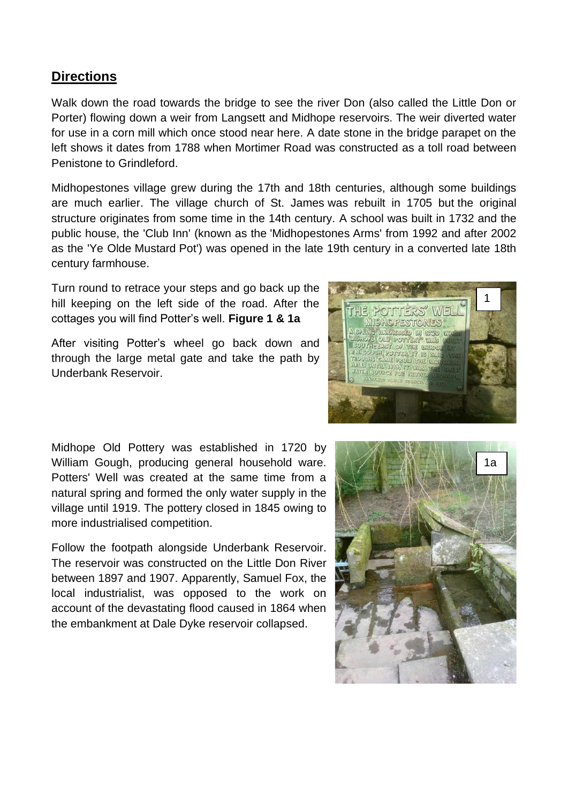#### **Directions**

Walk down the road towards the bridge to see the river Don (also called the Little Don or Porter) flowing down a weir from Langsett and Midhope reservoirs. The weir diverted water for use in a corn mill which once stood near here. A date stone in the bridge parapet on the left shows it dates from 1788 when Mortimer Road was constructed as a toll road between Penistone to Grindleford.

Midhopestones village grew during the 17th and 18th centuries, although some buildings are much earlier. The [village church of St. James](https://en.wikipedia.org/wiki/St_James%27_Church,_Midhopestones) was rebuilt in 1705 but the original structure originates from some time in the 14th century. A school was built in 1732 and the public house, the 'Club Inn' (known as the 'Midhopestones Arms' from 1992 and after 2002 as the 'Ye Olde Mustard Pot') was opened in the late 19th century in a converted late 18th century farmhouse.

Turn round to retrace your steps and go back up the hill keeping on the left side of the road. After the cottages you will find Potter's well. **Figure 1 & 1a**

After visiting Potter's wheel go back down and through the large metal gate and take the path by Underbank Reservoir.



Midhope Old Pottery was established in 1720 by William Gough, producing general household ware. Potters' Well was created at the same time from a natural spring and formed the only water supply in the village until 1919. The pottery closed in 1845 owing to more industrialised competition.

Follow the footpath alongside Underbank Reservoir. The reservoir was constructed on the Little Don River between 1897 and 1907. Apparently, Samuel Fox, the local industrialist, was opposed to the work on account of the devastating flood caused in 1864 when the embankment at Dale Dyke reservoir collapsed.

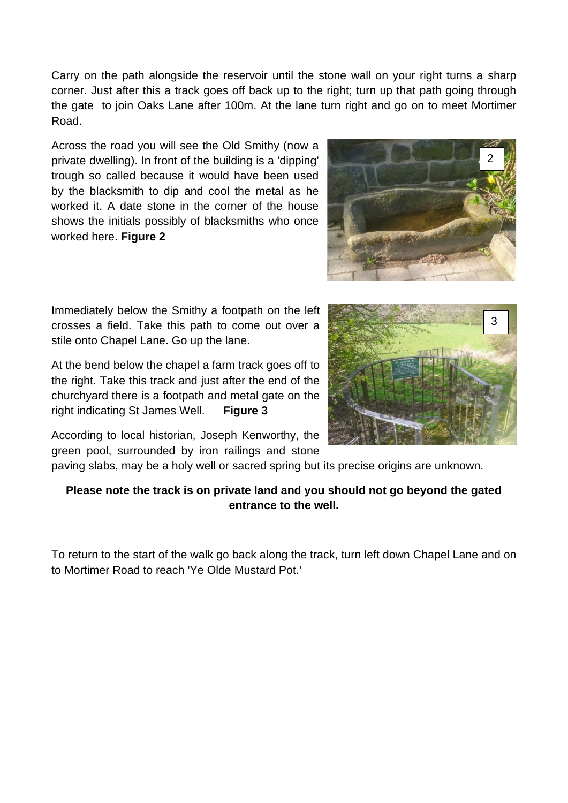Carry on the path alongside the reservoir until the stone wall on your right turns a sharp corner. Just after this a track goes off back up to the right; turn up that path going through the gate to join Oaks Lane after 100m. At the lane turn right and go on to meet Mortimer Road.

Across the road you will see the Old Smithy (now a private dwelling). In front of the building is a 'dipping' trough so called because it would have been used by the blacksmith to dip and cool the metal as he worked it. A date stone in the corner of the house shows the initials possibly of blacksmiths who once worked here. **Figure 2**



Immediately below the Smithy a footpath on the left crosses a field. Take this path to come out over a stile onto Chapel Lane. Go up the lane.

At the bend below the chapel a farm track goes off to the right. Take this track and just after the end of the churchyard there is a footpath and metal gate on the right indicating St James Well. **Figure 3**



According to local historian, Joseph Kenworthy, the green pool, surrounded by iron railings and stone

paving slabs, may be a holy well or sacred spring but its precise origins are unknown.

#### **Please note the track is on private land and you should not go beyond the gated entrance to the well.**

To return to the start of the walk go back along the track, turn left down Chapel Lane and on to Mortimer Road to reach 'Ye Olde Mustard Pot.'